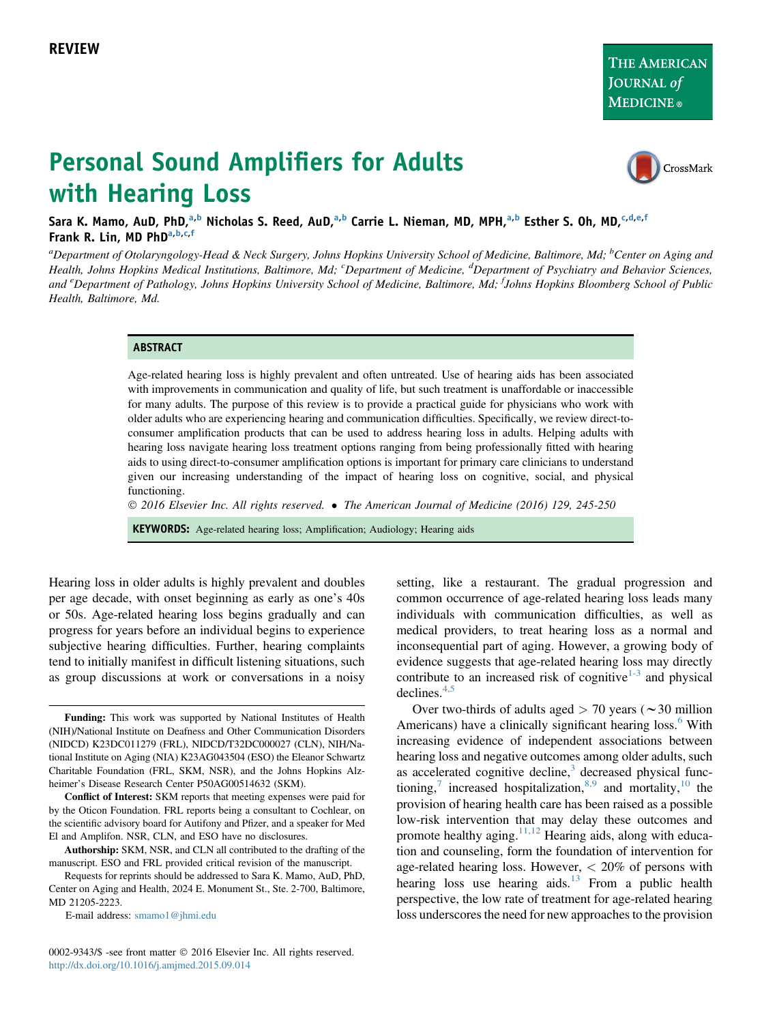THE AMERICAN JOURNAL of **MEDICINE**®

# Personal Sound Amplifiers for Adults with Hearing Loss



Sara K. Mamo, AuD, PhD,<sup>a,b</sup> Nicholas S. Reed, AuD,<sup>a,b</sup> Carrie L. Nieman, MD, MPH,<sup>a,b</sup> Esther S. Oh, MD,<sup>c,d,e,f</sup> Frank R. Lin, MD PhD<sup>a,b,c,f</sup>

<sup>a</sup>Department of Otolaryngology-Head & Neck Surgery, Johns Hopkins University School of Medicine, Baltimore, Md; <sup>b</sup>Center on Aging and Health, Johns Hopkins Medical Institutions, Baltimore, Md; <sup>c</sup>Department of Medicine, <sup>d</sup>Department of Psychiatry and Behavior Sciences, and <sup>e</sup>Department of Pathology, Johns Hopkins University School of Medicine, Baltimore, Md; <sup>f</sup>Johns Hopkins Bloomberg School of Public Health, Baltimore, Md.

#### ABSTRACT

Age-related hearing loss is highly prevalent and often untreated. Use of hearing aids has been associated with improvements in communication and quality of life, but such treatment is unaffordable or inaccessible for many adults. The purpose of this review is to provide a practical guide for physicians who work with older adults who are experiencing hearing and communication difficulties. Specifically, we review direct-toconsumer amplification products that can be used to address hearing loss in adults. Helping adults with hearing loss navigate hearing loss treatment options ranging from being professionally fitted with hearing aids to using direct-to-consumer amplification options is important for primary care clinicians to understand given our increasing understanding of the impact of hearing loss on cognitive, social, and physical functioning.

2016 Elsevier Inc. All rights reserved. The American Journal of Medicine (2016) 129, 245-250

KEYWORDS: Age-related hearing loss; Amplification; Audiology; Hearing aids

Hearing loss in older adults is highly prevalent and doubles per age decade, with onset beginning as early as one's 40s or 50s. Age-related hearing loss begins gradually and can progress for years before an individual begins to experience subjective hearing difficulties. Further, hearing complaints tend to initially manifest in difficult listening situations, such as group discussions at work or conversations in a noisy

Funding: This work was supported by National Institutes of Health (NIH)/National Institute on Deafness and Other Communication Disorders (NIDCD) K23DC011279 (FRL), NIDCD/T32DC000027 (CLN), NIH/National Institute on Aging (NIA) K23AG043504 (ESO) the Eleanor Schwartz Charitable Foundation (FRL, SKM, NSR), and the Johns Hopkins Alzheimer's Disease Research Center P50AG00514632 (SKM).

Conflict of Interest: SKM reports that meeting expenses were paid for by the Oticon Foundation. FRL reports being a consultant to Cochlear, on the scientific advisory board for Autifony and Pfizer, and a speaker for Med El and Amplifon. NSR, CLN, and ESO have no disclosures.

Authorship: SKM, NSR, and CLN all contributed to the drafting of the manuscript. ESO and FRL provided critical revision of the manuscript.

Requests for reprints should be addressed to Sara K. Mamo, AuD, PhD, Center on Aging and Health, 2024 E. Monument St., Ste. 2-700, Baltimore, MD 21205-2223.

E-mail address: [smamo1@jhmi.edu](mailto:smamo1@jhmi.edu)

0002-9343/\$ -see front matter © 2016 Elsevier Inc. All rights reserved. <http://dx.doi.org/10.1016/j.amjmed.2015.09.014>

setting, like a restaurant. The gradual progression and common occurrence of age-related hearing loss leads many individuals with communication difficulties, as well as medical providers, to treat hearing loss as a normal and inconsequential part of aging. However, a growing body of evidence suggests that age-related hearing loss may directly contribute to an increased risk of cognitive<sup>[1-3](#page-5-0)</sup> and physical  $declines.<sup>4,5</sup>$  $declines.<sup>4,5</sup>$  $declines.<sup>4,5</sup>$ 

Over two-thirds of adults aged  $>$  70 years ( $\sim$  30 million Americans) have a clinically significant hearing loss.<sup>[6](#page-5-0)</sup> With increasing evidence of independent associations between hearing loss and negative outcomes among older adults, such as accelerated cognitive decline, $3$  decreased physical func-tioning,<sup>[7](#page-5-0)</sup> increased hospitalization,  $8,9$  and mortality,  $10$  the provision of hearing health care has been raised as a possible low-risk intervention that may delay these outcomes and promote healthy aging.<sup>[11,12](#page-5-0)</sup> Hearing aids, along with education and counseling, form the foundation of intervention for age-related hearing loss. However, < 20% of persons with hearing loss use hearing aids.<sup>[13](#page-5-0)</sup> From a public health perspective, the low rate of treatment for age-related hearing loss underscores the need for new approaches to the provision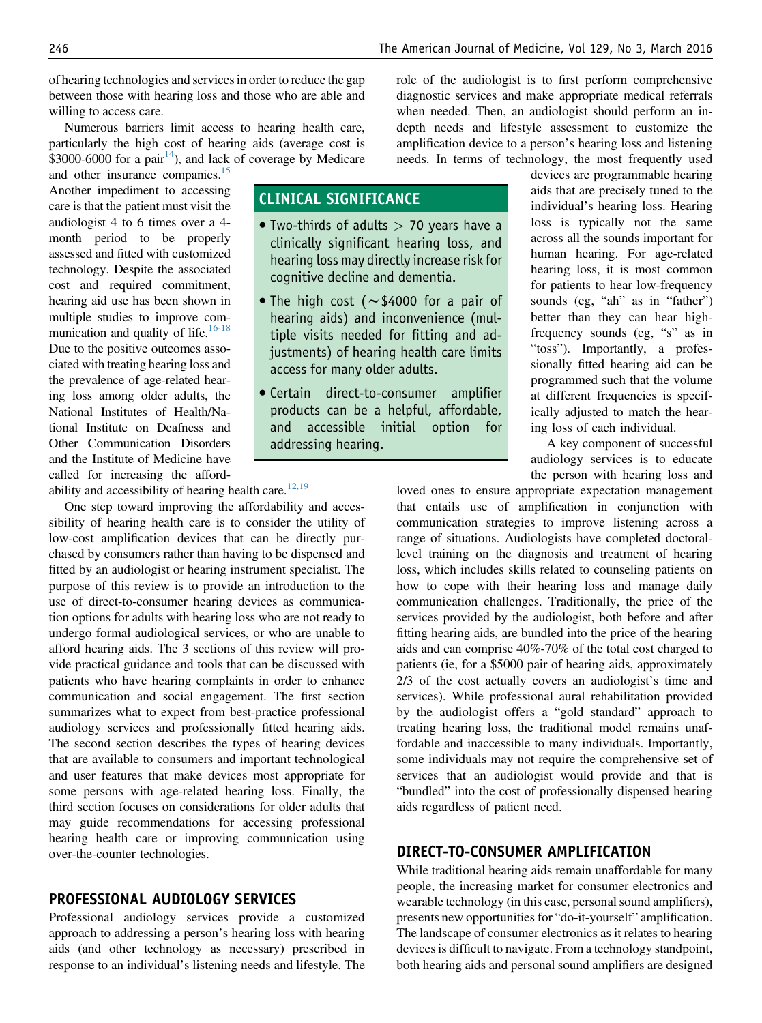of hearing technologies and services in order to reduce the gap between those with hearing loss and those who are able and willing to access care.

Numerous barriers limit access to hearing health care, particularly the high cost of hearing aids (average cost is \$3000-6000 for a pair<sup>14</sup>), and lack of coverage by Medicare

and other insurance companies.<sup>15</sup> Another impediment to accessing care is that the patient must visit the audiologist 4 to 6 times over a 4 month period to be properly assessed and fitted with customized technology. Despite the associated cost and required commitment, hearing aid use has been shown in multiple studies to improve communication and quality of life. $16-18$ Due to the positive outcomes associated with treating hearing loss and the prevalence of age-related hearing loss among older adults, the National Institutes of Health/National Institute on Deafness and Other Communication Disorders and the Institute of Medicine have called for increasing the affordrole of the audiologist is to first perform comprehensive diagnostic services and make appropriate medical referrals when needed. Then, an audiologist should perform an indepth needs and lifestyle assessment to customize the amplification device to a person's hearing loss and listening needs. In terms of technology, the most frequently used

## CLINICAL SIGNIFICANCE

- Two-thirds of adults  $>$  70 years have a clinically significant hearing loss, and hearing loss may directly increase risk for cognitive decline and dementia.
- The high cost ( $\sim$  \$4000 for a pair of hearing aids) and inconvenience (multiple visits needed for fitting and adjustments) of hearing health care limits access for many older adults.
- Certain direct-to-consumer amplifier products can be a helpful, affordable, and accessible initial option for addressing hearing.

ability and accessibility of hearing health care.<sup>12,19</sup>

One step toward improving the affordability and accessibility of hearing health care is to consider the utility of low-cost amplification devices that can be directly purchased by consumers rather than having to be dispensed and fitted by an audiologist or hearing instrument specialist. The purpose of this review is to provide an introduction to the use of direct-to-consumer hearing devices as communication options for adults with hearing loss who are not ready to undergo formal audiological services, or who are unable to afford hearing aids. The 3 sections of this review will provide practical guidance and tools that can be discussed with patients who have hearing complaints in order to enhance communication and social engagement. The first section summarizes what to expect from best-practice professional audiology services and professionally fitted hearing aids. The second section describes the types of hearing devices that are available to consumers and important technological and user features that make devices most appropriate for some persons with age-related hearing loss. Finally, the third section focuses on considerations for older adults that may guide recommendations for accessing professional hearing health care or improving communication using over-the-counter technologies.

### PROFESSIONAL AUDIOLOGY SERVICES

Professional audiology services provide a customized approach to addressing a person's hearing loss with hearing aids (and other technology as necessary) prescribed in response to an individual's listening needs and lifestyle. The devices are programmable hearing aids that are precisely tuned to the individual's hearing loss. Hearing loss is typically not the same across all the sounds important for human hearing. For age-related hearing loss, it is most common for patients to hear low-frequency sounds (eg, "ah" as in "father") better than they can hear highfrequency sounds (eg, "s" as in "toss"). Importantly, a professionally fitted hearing aid can be programmed such that the volume at different frequencies is specifically adjusted to match the hearing loss of each individual.

A key component of successful audiology services is to educate the person with hearing loss and

loved ones to ensure appropriate expectation management that entails use of amplification in conjunction with communication strategies to improve listening across a range of situations. Audiologists have completed doctorallevel training on the diagnosis and treatment of hearing loss, which includes skills related to counseling patients on how to cope with their hearing loss and manage daily communication challenges. Traditionally, the price of the services provided by the audiologist, both before and after fitting hearing aids, are bundled into the price of the hearing aids and can comprise 40%-70% of the total cost charged to patients (ie, for a \$5000 pair of hearing aids, approximately 2/3 of the cost actually covers an audiologist's time and services). While professional aural rehabilitation provided by the audiologist offers a "gold standard" approach to treating hearing loss, the traditional model remains unaffordable and inaccessible to many individuals. Importantly, some individuals may not require the comprehensive set of services that an audiologist would provide and that is "bundled" into the cost of professionally dispensed hearing aids regardless of patient need.

## DIRECT-TO-CONSUMER AMPLIFICATION

While traditional hearing aids remain unaffordable for many people, the increasing market for consumer electronics and wearable technology (in this case, personal sound amplifiers), presents new opportunities for "do-it-yourself" amplification. The landscape of consumer electronics as it relates to hearing devices is difficult to navigate. From a technology standpoint, both hearing aids and personal sound amplifiers are designed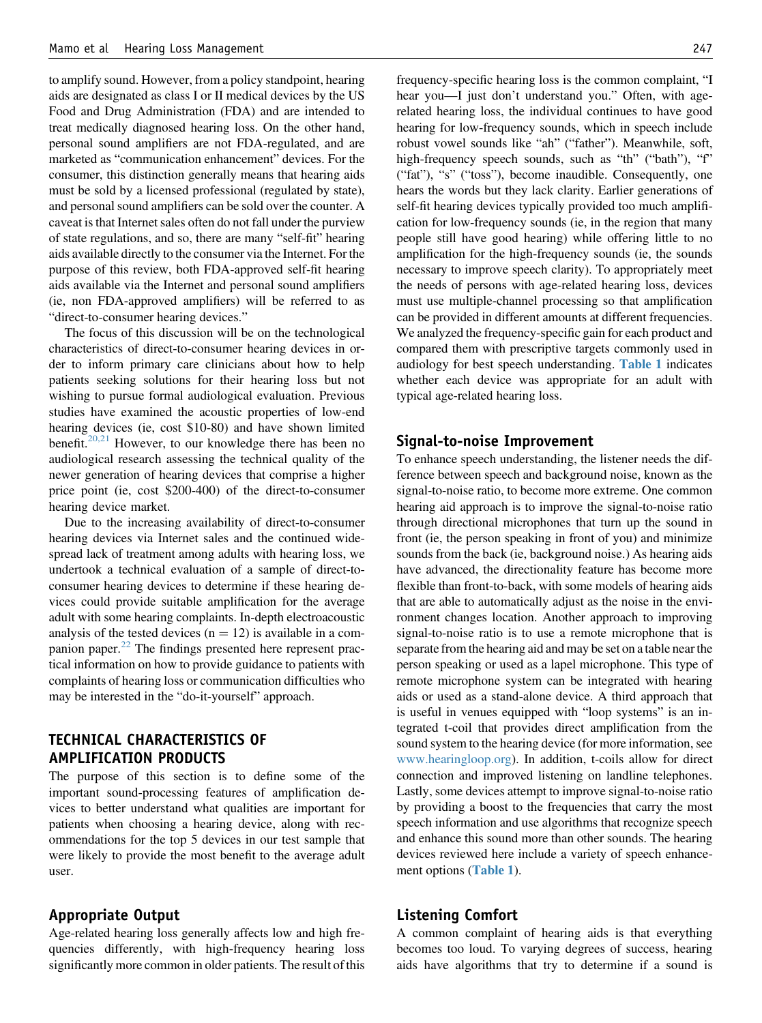to amplify sound. However, from a policy standpoint, hearing aids are designated as class I or II medical devices by the US Food and Drug Administration (FDA) and are intended to treat medically diagnosed hearing loss. On the other hand, personal sound amplifiers are not FDA-regulated, and are marketed as "communication enhancement" devices. For the consumer, this distinction generally means that hearing aids must be sold by a licensed professional (regulated by state), and personal sound amplifiers can be sold over the counter. A caveat is that Internet sales often do not fall under the purview of state regulations, and so, there are many "self-fit" hearing aids available directly to the consumer via the Internet. For the purpose of this review, both FDA-approved self-fit hearing aids available via the Internet and personal sound amplifiers (ie, non FDA-approved amplifiers) will be referred to as "direct-to-consumer hearing devices."

The focus of this discussion will be on the technological characteristics of direct-to-consumer hearing devices in order to inform primary care clinicians about how to help patients seeking solutions for their hearing loss but not wishing to pursue formal audiological evaluation. Previous studies have examined the acoustic properties of low-end hearing devices (ie, cost \$10-80) and have shown limited benefit.<sup>[20,21](#page-5-0)</sup> However, to our knowledge there has been no audiological research assessing the technical quality of the newer generation of hearing devices that comprise a higher price point (ie, cost \$200-400) of the direct-to-consumer hearing device market.

Due to the increasing availability of direct-to-consumer hearing devices via Internet sales and the continued widespread lack of treatment among adults with hearing loss, we undertook a technical evaluation of a sample of direct-toconsumer hearing devices to determine if these hearing devices could provide suitable amplification for the average adult with some hearing complaints. In-depth electroacoustic analysis of the tested devices  $(n = 12)$  is available in a companion paper. $^{22}$  $^{22}$  $^{22}$  The findings presented here represent practical information on how to provide guidance to patients with complaints of hearing loss or communication difficulties who may be interested in the "do-it-yourself" approach.

## TECHNICAL CHARACTERISTICS OF AMPLIFICATION PRODUCTS

The purpose of this section is to define some of the important sound-processing features of amplification devices to better understand what qualities are important for patients when choosing a hearing device, along with recommendations for the top 5 devices in our test sample that were likely to provide the most benefit to the average adult user.

#### Appropriate Output

Age-related hearing loss generally affects low and high frequencies differently, with high-frequency hearing loss significantly more common in older patients. The result of this frequency-specific hearing loss is the common complaint, "I hear you—I just don't understand you." Often, with agerelated hearing loss, the individual continues to have good hearing for low-frequency sounds, which in speech include robust vowel sounds like "ah" ("father"). Meanwhile, soft, high-frequency speech sounds, such as "th" ("bath"), "f" ("fat"), "s" ("toss"), become inaudible. Consequently, one hears the words but they lack clarity. Earlier generations of self-fit hearing devices typically provided too much amplification for low-frequency sounds (ie, in the region that many people still have good hearing) while offering little to no amplification for the high-frequency sounds (ie, the sounds necessary to improve speech clarity). To appropriately meet the needs of persons with age-related hearing loss, devices must use multiple-channel processing so that amplification can be provided in different amounts at different frequencies. We analyzed the frequency-specific gain for each product and compared them with prescriptive targets commonly used in audiology for best speech understanding. [Table 1](#page-3-0) indicates whether each device was appropriate for an adult with typical age-related hearing loss.

#### Signal-to-noise Improvement

To enhance speech understanding, the listener needs the difference between speech and background noise, known as the signal-to-noise ratio, to become more extreme. One common hearing aid approach is to improve the signal-to-noise ratio through directional microphones that turn up the sound in front (ie, the person speaking in front of you) and minimize sounds from the back (ie, background noise.) As hearing aids have advanced, the directionality feature has become more flexible than front-to-back, with some models of hearing aids that are able to automatically adjust as the noise in the environment changes location. Another approach to improving signal-to-noise ratio is to use a remote microphone that is separate from the hearing aid and may be set on a table near the person speaking or used as a lapel microphone. This type of remote microphone system can be integrated with hearing aids or used as a stand-alone device. A third approach that is useful in venues equipped with "loop systems" is an integrated t-coil that provides direct amplification from the sound system to the hearing device (for more information, see [www.hearingloop.org\)](http://www.hearingloop.org). In addition, t-coils allow for direct connection and improved listening on landline telephones. Lastly, some devices attempt to improve signal-to-noise ratio by providing a boost to the frequencies that carry the most speech information and use algorithms that recognize speech and enhance this sound more than other sounds. The hearing devices reviewed here include a variety of speech enhancement options ([Table 1](#page-3-0)).

#### Listening Comfort

A common complaint of hearing aids is that everything becomes too loud. To varying degrees of success, hearing aids have algorithms that try to determine if a sound is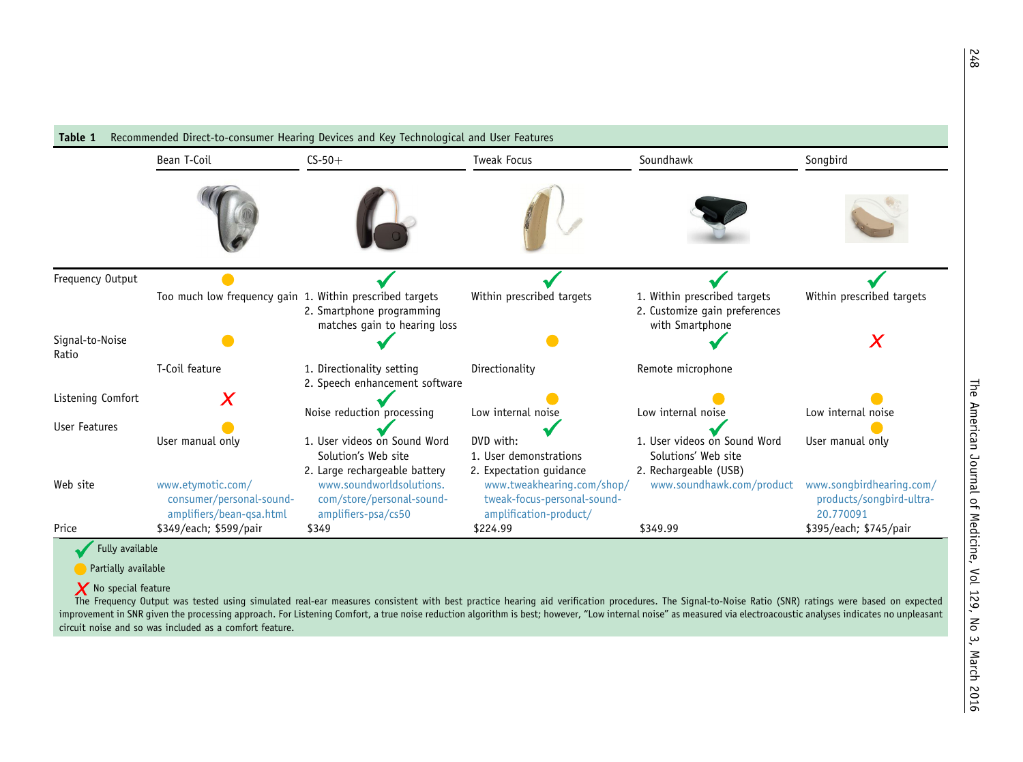<span id="page-3-0"></span>

|                          | Bean T-Coil                                                               | $CS-50+$                                                                                                      | <b>Tweak Focus</b>                                                                                             | Soundhawk                                                                        | Songbird                                                          |
|--------------------------|---------------------------------------------------------------------------|---------------------------------------------------------------------------------------------------------------|----------------------------------------------------------------------------------------------------------------|----------------------------------------------------------------------------------|-------------------------------------------------------------------|
|                          |                                                                           |                                                                                                               |                                                                                                                |                                                                                  |                                                                   |
| Frequency Output         |                                                                           |                                                                                                               |                                                                                                                |                                                                                  |                                                                   |
|                          | Too much low frequency gain 1. Within prescribed targets                  | 2. Smartphone programming<br>matches gain to hearing loss                                                     | Within prescribed targets                                                                                      | 1. Within prescribed targets<br>2. Customize gain preferences<br>with Smartphone | Within prescribed targets                                         |
| Signal-to-Noise<br>Ratio |                                                                           |                                                                                                               |                                                                                                                |                                                                                  | Χ                                                                 |
|                          | T-Coil feature                                                            | 1. Directionality setting<br>2. Speech enhancement software                                                   | Directionality                                                                                                 | Remote microphone                                                                |                                                                   |
| Listening Comfort        | Х                                                                         | Noise reduction processing                                                                                    | Low internal noise                                                                                             | Low internal noise                                                               | Low internal noise                                                |
| User Features            |                                                                           | 1. User videos on Sound Word                                                                                  | DVD with:                                                                                                      | 1. User videos on Sound Word                                                     |                                                                   |
|                          | User manual only                                                          | Solution's Web site                                                                                           | 1. User demonstrations                                                                                         | Solutions' Web site                                                              | User manual only                                                  |
| Web site                 | www.etymotic.com/<br>consumer/personal-sound-<br>amplifiers/bean-qsa.html | 2. Large rechargeable battery<br>www.soundworldsolutions.<br>com/store/personal-sound-<br>amplifiers-psa/cs50 | 2. Expectation guidance<br>www.tweakhearing.com/shop/<br>tweak-focus-personal-sound-<br>amplification-product/ | 2. Rechargeable (USB)<br>www.soundhawk.com/product                               | www.songbirdhearing.com/<br>products/songbird-ultra-<br>20.770091 |
| Price                    | \$349/each; \$599/pair                                                    | \$349                                                                                                         | \$224.99                                                                                                       | \$349.99                                                                         | \$395/each; \$745/pair                                            |

Fully available  $\checkmark$ 

**Partially available** 

No special feature

The Frequency Output was tested using simulated real-ear measures consistent with best practice hearing aid verification procedures. The Signal-to-Noise Ratio (SNR) ratings were based on expected improvement in SNR given the processing approach. For Listening Comfort, <sup>a</sup> true noise reduction algorithm is best; however, "Low internal noise" as measured via electroacoustic analyses indicates no unpleasant circuit noise and so was included as <sup>a</sup> comfort feature.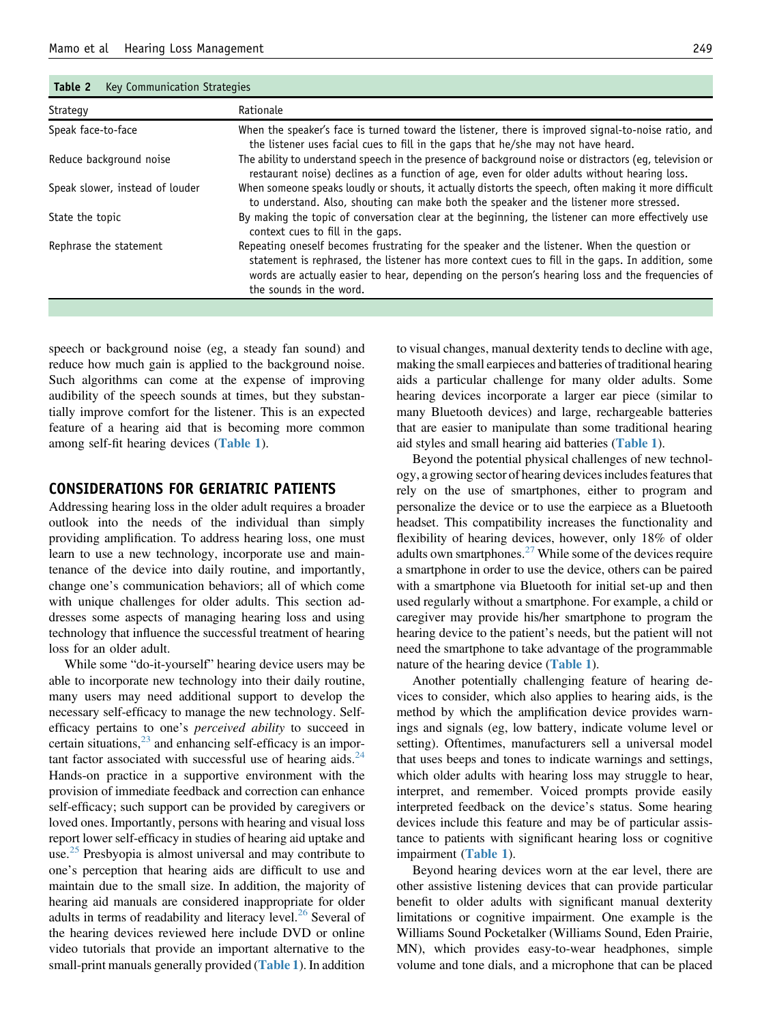<span id="page-4-0"></span>

| Table 2 |  | Key Communication Strategies |  |
|---------|--|------------------------------|--|
|---------|--|------------------------------|--|

| Strategy                        | Rationale                                                                                                                                                                                                                                                                                                                        |  |  |  |
|---------------------------------|----------------------------------------------------------------------------------------------------------------------------------------------------------------------------------------------------------------------------------------------------------------------------------------------------------------------------------|--|--|--|
| Speak face-to-face              | When the speaker's face is turned toward the listener, there is improved signal-to-noise ratio, and<br>the listener uses facial cues to fill in the gaps that he/she may not have heard.                                                                                                                                         |  |  |  |
| Reduce background noise         | The ability to understand speech in the presence of background noise or distractors (eq, television or<br>restaurant noise) declines as a function of age, even for older adults without hearing loss.                                                                                                                           |  |  |  |
| Speak slower, instead of louder | When someone speaks loudly or shouts, it actually distorts the speech, often making it more difficult<br>to understand. Also, shouting can make both the speaker and the listener more stressed.                                                                                                                                 |  |  |  |
| State the topic                 | By making the topic of conversation clear at the beginning, the listener can more effectively use<br>context cues to fill in the gaps.                                                                                                                                                                                           |  |  |  |
| Rephrase the statement          | Repeating oneself becomes frustrating for the speaker and the listener. When the question or<br>statement is rephrased, the listener has more context cues to fill in the gaps. In addition, some<br>words are actually easier to hear, depending on the person's hearing loss and the frequencies of<br>the sounds in the word. |  |  |  |

speech or background noise (eg, a steady fan sound) and reduce how much gain is applied to the background noise. Such algorithms can come at the expense of improving audibility of the speech sounds at times, but they substantially improve comfort for the listener. This is an expected feature of a hearing aid that is becoming more common among self-fit hearing devices ([Table 1](#page-3-0)).

## CONSIDERATIONS FOR GERIATRIC PATIENTS

Addressing hearing loss in the older adult requires a broader outlook into the needs of the individual than simply providing amplification. To address hearing loss, one must learn to use a new technology, incorporate use and maintenance of the device into daily routine, and importantly, change one's communication behaviors; all of which come with unique challenges for older adults. This section addresses some aspects of managing hearing loss and using technology that influence the successful treatment of hearing loss for an older adult.

While some "do-it-yourself" hearing device users may be able to incorporate new technology into their daily routine, many users may need additional support to develop the necessary self-efficacy to manage the new technology. Selfefficacy pertains to one's perceived ability to succeed in certain situations, $^{23}$  $^{23}$  $^{23}$  and enhancing self-efficacy is an important factor associated with successful use of hearing aids. $24$ Hands-on practice in a supportive environment with the provision of immediate feedback and correction can enhance self-efficacy; such support can be provided by caregivers or loved ones. Importantly, persons with hearing and visual loss report lower self-efficacy in studies of hearing aid uptake and use.<sup>[25](#page-5-0)</sup> Presbyopia is almost universal and may contribute to one's perception that hearing aids are difficult to use and maintain due to the small size. In addition, the majority of hearing aid manuals are considered inappropriate for older adults in terms of readability and literacy level.<sup>[26](#page-5-0)</sup> Several of the hearing devices reviewed here include DVD or online video tutorials that provide an important alternative to the small-print manuals generally provided ([Table 1](#page-3-0)). In addition to visual changes, manual dexterity tends to decline with age, making the small earpieces and batteries of traditional hearing aids a particular challenge for many older adults. Some hearing devices incorporate a larger ear piece (similar to many Bluetooth devices) and large, rechargeable batteries that are easier to manipulate than some traditional hearing aid styles and small hearing aid batteries ([Table 1](#page-3-0)).

Beyond the potential physical challenges of new technology, a growing sector of hearing devices includes features that rely on the use of smartphones, either to program and personalize the device or to use the earpiece as a Bluetooth headset. This compatibility increases the functionality and flexibility of hearing devices, however, only 18% of older adults own smartphones. $27$  While some of the devices require a smartphone in order to use the device, others can be paired with a smartphone via Bluetooth for initial set-up and then used regularly without a smartphone. For example, a child or caregiver may provide his/her smartphone to program the hearing device to the patient's needs, but the patient will not need the smartphone to take advantage of the programmable nature of the hearing device ([Table 1](#page-3-0)).

Another potentially challenging feature of hearing devices to consider, which also applies to hearing aids, is the method by which the amplification device provides warnings and signals (eg, low battery, indicate volume level or setting). Oftentimes, manufacturers sell a universal model that uses beeps and tones to indicate warnings and settings, which older adults with hearing loss may struggle to hear, interpret, and remember. Voiced prompts provide easily interpreted feedback on the device's status. Some hearing devices include this feature and may be of particular assistance to patients with significant hearing loss or cognitive impairment ([Table 1](#page-3-0)).

Beyond hearing devices worn at the ear level, there are other assistive listening devices that can provide particular benefit to older adults with significant manual dexterity limitations or cognitive impairment. One example is the Williams Sound Pocketalker (Williams Sound, Eden Prairie, MN), which provides easy-to-wear headphones, simple volume and tone dials, and a microphone that can be placed